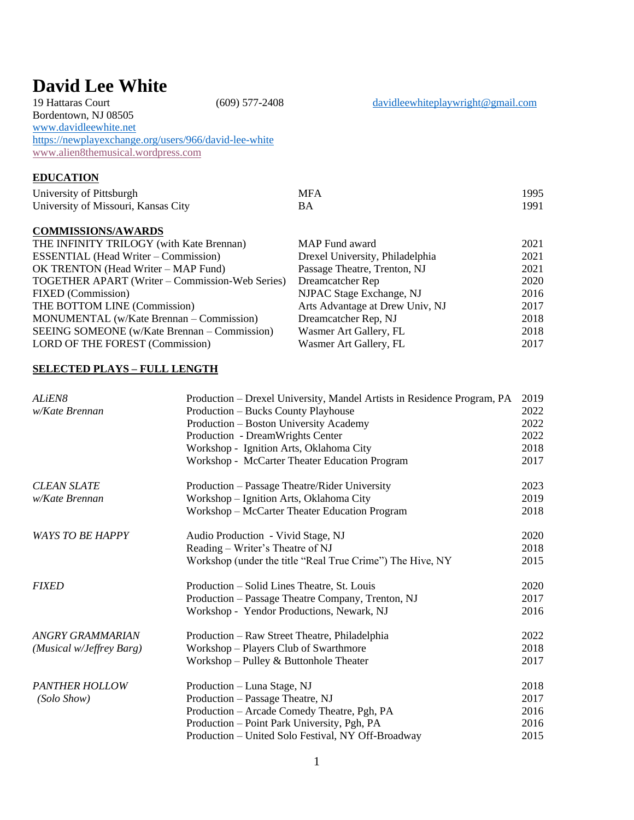# **David Lee White**<br>19 Hattaras Court

Bordentown, NJ 08505 [www.davidleewhite.net](http://www.davidleewhite.net/)  <https://newplayexchange.org/users/966/david-lee-white> [www.alien8themusical.wordpress.com](http://www.alien8themusical.wordpress.com/)

## **EDUCATION**

| University of Pittsburgh            | MFA | 1995 |
|-------------------------------------|-----|------|
| University of Missouri, Kansas City |     | 1991 |

### **COMMISSIONS/AWARDS**

| THE INFINITY TRILOGY (with Kate Brennan)        | MAP Fund award                  | 2021 |
|-------------------------------------------------|---------------------------------|------|
| <b>ESSENTIAL</b> (Head Writer – Commission)     | Drexel University, Philadelphia | 2021 |
| OK TRENTON (Head Writer – MAP Fund)             | Passage Theatre, Trenton, NJ    | 2021 |
| TOGETHER APART (Writer – Commission-Web Series) | Dreamcatcher Rep                | 2020 |
| <b>FIXED</b> (Commission)                       | NJPAC Stage Exchange, NJ        | 2016 |
| THE BOTTOM LINE (Commission)                    | Arts Advantage at Drew Univ, NJ | 2017 |
| MONUMENTAL (w/Kate Brennan – Commission)        | Dreamcatcher Rep, NJ            | 2018 |
| SEEING SOMEONE (w/Kate Brennan – Commission)    | Wasmer Art Gallery, FL          | 2018 |
| LORD OF THE FOREST (Commission)                 | Wasmer Art Gallery, FL          | 2017 |

#### **SELECTED PLAYS – FULL LENGTH**

| ALiEN8                   | Production – Drexel University, Mandel Artists in Residence Program, PA | 2019 |
|--------------------------|-------------------------------------------------------------------------|------|
| w/Kate Brennan           | Production – Bucks County Playhouse                                     | 2022 |
|                          | Production – Boston University Academy                                  | 2022 |
|                          | Production - DreamWrights Center                                        | 2022 |
|                          | Workshop - Ignition Arts, Oklahoma City                                 | 2018 |
|                          | Workshop - McCarter Theater Education Program                           | 2017 |
| <b>CLEAN SLATE</b>       | Production – Passage Theatre/Rider University                           | 2023 |
| w/Kate Brennan           | Workshop - Ignition Arts, Oklahoma City                                 | 2019 |
|                          | Workshop - McCarter Theater Education Program                           | 2018 |
| <b>WAYS TO BE HAPPY</b>  | Audio Production - Vivid Stage, NJ                                      | 2020 |
|                          | Reading – Writer's Theatre of NJ                                        | 2018 |
|                          | Workshop (under the title "Real True Crime") The Hive, NY               | 2015 |
| <b>FIXED</b>             | Production – Solid Lines Theatre, St. Louis                             | 2020 |
|                          | Production - Passage Theatre Company, Trenton, NJ                       | 2017 |
|                          | Workshop - Yendor Productions, Newark, NJ                               | 2016 |
| <b>ANGRY GRAMMARIAN</b>  | Production – Raw Street Theatre, Philadelphia                           | 2022 |
| (Musical w/Jeffrey Barg) | Workshop - Players Club of Swarthmore                                   | 2018 |
|                          | Workshop – Pulley & Buttonhole Theater                                  | 2017 |
| <b>PANTHER HOLLOW</b>    | Production - Luna Stage, NJ                                             | 2018 |
| (Solo Show)              | Production - Passage Theatre, NJ                                        | 2017 |
|                          | Production - Arcade Comedy Theatre, Pgh, PA                             | 2016 |
|                          | Production - Point Park University, Pgh, PA                             | 2016 |
|                          | Production - United Solo Festival, NY Off-Broadway                      | 2015 |

 $(609)$  577-2408 [davidleewhiteplaywright@gmail.com](mailto:davidleewhiteplaywright@gmail.com)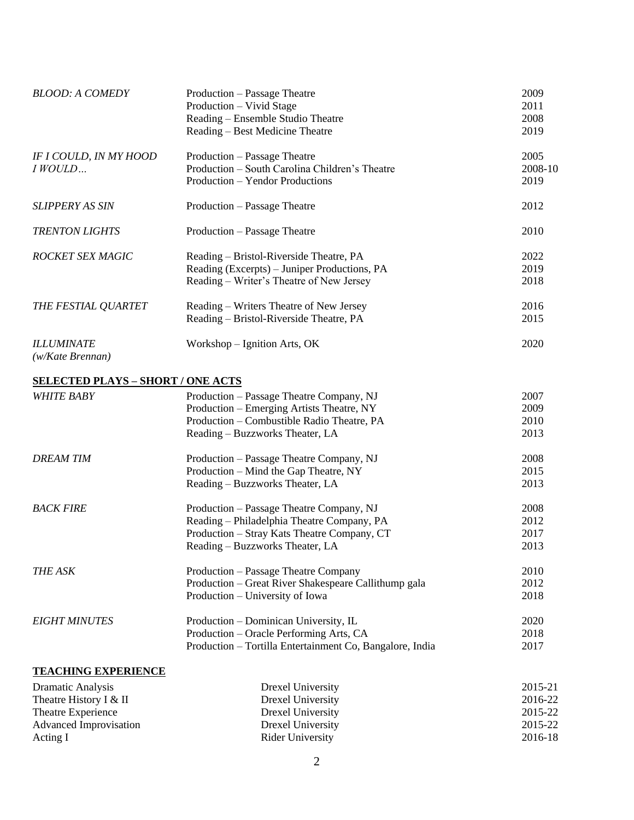| <b>BLOOD: A COMEDY</b>                                                                                  | Production – Passage Theatre<br>Production - Vivid Stage<br>Reading - Ensemble Studio Theatre<br>Reading – Best Medicine Theatre    | 2009<br>2011<br>2008<br>2019 |
|---------------------------------------------------------------------------------------------------------|-------------------------------------------------------------------------------------------------------------------------------------|------------------------------|
| IF I COULD, IN MY HOOD<br>I WOULD                                                                       | Production – Passage Theatre<br>Production - South Carolina Children's Theatre<br>Production - Yendor Productions                   | 2005<br>2008-10<br>2019      |
| <b>SLIPPERY AS SIN</b>                                                                                  | Production – Passage Theatre                                                                                                        | 2012                         |
| <b>TRENTON LIGHTS</b>                                                                                   | Production – Passage Theatre                                                                                                        | 2010                         |
| ROCKET SEX MAGIC                                                                                        | Reading – Bristol-Riverside Theatre, PA<br>Reading (Excerpts) - Juniper Productions, PA<br>Reading - Writer's Theatre of New Jersey | 2022<br>2019<br>2018         |
| THE FESTIAL QUARTET                                                                                     | Reading - Writers Theatre of New Jersey<br>Reading - Bristol-Riverside Theatre, PA                                                  | 2016<br>2015                 |
| <b>ILLUMINATE</b><br>(w/Kate Brennan)                                                                   | Workshop – Ignition Arts, OK                                                                                                        | 2020                         |
| <b>SELECTED PLAYS - SHORT / ONE ACTS</b>                                                                |                                                                                                                                     |                              |
| <b>WHITE BABY</b>                                                                                       | Production - Passage Theatre Company, NJ                                                                                            | 2007                         |
|                                                                                                         | Production – Emerging Artists Theatre, NY                                                                                           | 2009                         |
|                                                                                                         | Production - Combustible Radio Theatre, PA                                                                                          | 2010                         |
|                                                                                                         | Reading – Buzzworks Theater, LA                                                                                                     | 2013                         |
| <b>DREAM TIM</b>                                                                                        | Production - Passage Theatre Company, NJ                                                                                            | 2008                         |
|                                                                                                         | Production - Mind the Gap Theatre, NY                                                                                               | 2015                         |
|                                                                                                         | Reading - Buzzworks Theater, LA                                                                                                     | 2013                         |
| <b>BACK FIRE</b>                                                                                        | Production - Passage Theatre Company, NJ                                                                                            | 2008                         |
|                                                                                                         | Reading - Philadelphia Theatre Company, PA                                                                                          | 2012                         |
|                                                                                                         | Production - Stray Kats Theatre Company, CT                                                                                         | 2017                         |
|                                                                                                         | Reading - Buzzworks Theater, LA                                                                                                     | 2013                         |
| <b>THE ASK</b>                                                                                          | Production – Passage Theatre Company                                                                                                | 2010                         |
|                                                                                                         | Production - Great River Shakespeare Callithump gala                                                                                | 2012                         |
|                                                                                                         | Production – University of Iowa                                                                                                     | 2018                         |
| <b>EIGHT MINUTES</b>                                                                                    | Production – Dominican University, IL                                                                                               | 2020                         |
|                                                                                                         | Production – Oracle Performing Arts, CA                                                                                             | 2018                         |
|                                                                                                         | Production - Tortilla Entertainment Co, Bangalore, India                                                                            | 2017                         |
| <b>TEACHING EXPERIENCE</b>                                                                              |                                                                                                                                     |                              |
| <b>Dramatic Analysis</b>                                                                                | <b>Drexel University</b>                                                                                                            | 2015-21                      |
| $\mathbf{Th}_{\text{non-time}}$ $\mathbf{H}_{\text{non-time}}$ $\mathbf{I}$ $\mathbf{0}$ . $\mathbf{H}$ | $D_{\text{max}}$ <sup>1</sup> $L_{\text{max}}$                                                                                      | 2016.22                      |

| DI alliaux 7 mai y 515 | <b>DIVALI UMITUATU</b>  | $2013 - 21$ |
|------------------------|-------------------------|-------------|
| Theatre History I & II | Drexel University       | 2016-22     |
| Theatre Experience     | Drexel University       | 2015-22     |
| Advanced Improvisation | Drexel University       | 2015-22     |
| Acting I               | <b>Rider University</b> | 2016-18     |